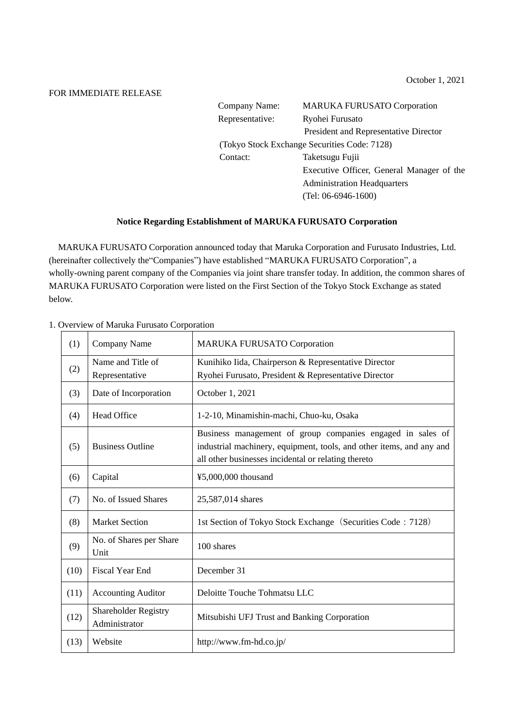## FOR IMMEDIATE RELEASE

| Company Name:   | <b>MARUKA FURUSATO Corporation</b>           |  |
|-----------------|----------------------------------------------|--|
| Representative: | Ryohei Furusato                              |  |
|                 | President and Representative Director        |  |
|                 | (Tokyo Stock Exchange Securities Code: 7128) |  |
| Contact:        | Taketsugu Fujii                              |  |
|                 | Executive Officer, General Manager of the    |  |
|                 | <b>Administration Headquarters</b>           |  |
|                 | $(Tel: 06-6946-1600)$                        |  |

## **Notice Regarding Establishment of MARUKA FURUSATO Corporation**

MARUKA FURUSATO Corporation announced today that Maruka Corporation and Furusato Industries, Ltd. (hereinafter collectively the"Companies") have established "MARUKA FURUSATO Corporation", a wholly-owning parent company of the Companies via joint share transfer today. In addition, the common shares of MARUKA FURUSATO Corporation were listed on the First Section of the Tokyo Stock Exchange as stated below.

| (1)  | Company Name                                 | <b>MARUKA FURUSATO Corporation</b>                                                                                                                                                        |
|------|----------------------------------------------|-------------------------------------------------------------------------------------------------------------------------------------------------------------------------------------------|
| (2)  | Name and Title of<br>Representative          | Kunihiko Iida, Chairperson & Representative Director<br>Ryohei Furusato, President & Representative Director                                                                              |
| (3)  | Date of Incorporation                        | October 1, 2021                                                                                                                                                                           |
| (4)  | Head Office                                  | 1-2-10, Minamishin-machi, Chuo-ku, Osaka                                                                                                                                                  |
| (5)  | <b>Business Outline</b>                      | Business management of group companies engaged in sales of<br>industrial machinery, equipment, tools, and other items, and any and<br>all other businesses incidental or relating thereto |
| (6)  | Capital                                      | ¥5,000,000 thousand                                                                                                                                                                       |
| (7)  | No. of Issued Shares                         | 25,587,014 shares                                                                                                                                                                         |
| (8)  | <b>Market Section</b>                        | 1st Section of Tokyo Stock Exchange (Securities Code: 7128)                                                                                                                               |
| (9)  | No. of Shares per Share<br>Unit              | 100 shares                                                                                                                                                                                |
| (10) | <b>Fiscal Year End</b>                       | December 31                                                                                                                                                                               |
| (11) | <b>Accounting Auditor</b>                    | Deloitte Touche Tohmatsu LLC                                                                                                                                                              |
| (12) | <b>Shareholder Registry</b><br>Administrator | Mitsubishi UFJ Trust and Banking Corporation                                                                                                                                              |
| (13) | Website                                      | http://www.fm-hd.co.jp/                                                                                                                                                                   |

## 1. Overview of Maruka Furusato Corporation